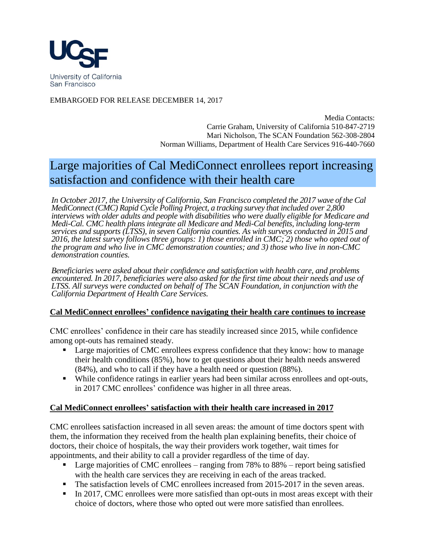

EMBARGOED FOR RELEASE DECEMBER 14, 2017

Media Contacts: Carrie Graham, University of California 510-847-2719 Mari Nicholson, The SCAN Foundation 562-308-2804 Norman Williams, Department of Health Care Services 916-440-7660

# Large majorities of Cal MediConnect enrollees report increasing satisfaction and confidence with their health care

*In October 2017, the University of California, San Francisco completed the 2017 wave of the Cal MediConnect (CMC) Rapid Cycle Polling Project, a tracking survey that included over 2,800 interviews with older adults and people with disabilities who were dually eligible for Medicare and Medi-Cal. CMC health plans integrate all Medicare and Medi-Cal benefits, including long-term services and supports (LTSS), in seven California counties. As with surveys conducted in 2015 and 2016, the latest survey follows three groups: 1) those enrolled in CMC; 2) those who opted out of the program and who live in CMC demonstration counties; and 3) those who live in non-CMC demonstration counties.*

*Beneficiaries were asked about their confidence and satisfaction with health care, and problems encountered. In 2017, beneficiaries were also asked for the first time about their needs and use of LTSS. All surveys were conducted on behalf of The SCAN Foundation, in conjunction with the California Department of Health Care Services.*

#### **Cal MediConnect enrollees' confidence navigating their health care continues to increase**

CMC enrollees' confidence in their care has steadily increased since 2015, while confidence among opt-outs has remained steady.

- Large majorities of CMC enrollees express confidence that they know: how to manage their health conditions (85%), how to get questions about their health needs answered (84%), and who to call if they have a health need or question (88%).
- While confidence ratings in earlier years had been similar across enrollees and opt-outs, in 2017 CMC enrollees' confidence was higher in all three areas.

## **Cal MediConnect enrollees' satisfaction with their health care increased in 2017**

CMC enrollees satisfaction increased in all seven areas: the amount of time doctors spent with them, the information they received from the health plan explaining benefits, their choice of doctors, their choice of hospitals, the way their providers work together, wait times for appointments, and their ability to call a provider regardless of the time of day.

- Large majorities of CMC enrollees ranging from 78% to 88% report being satisfied with the health care services they are receiving in each of the areas tracked.
- The satisfaction levels of CMC enrollees increased from 2015-2017 in the seven areas.
- In 2017, CMC enrollees were more satisfied than opt-outs in most areas except with their choice of doctors, where those who opted out were more satisfied than enrollees.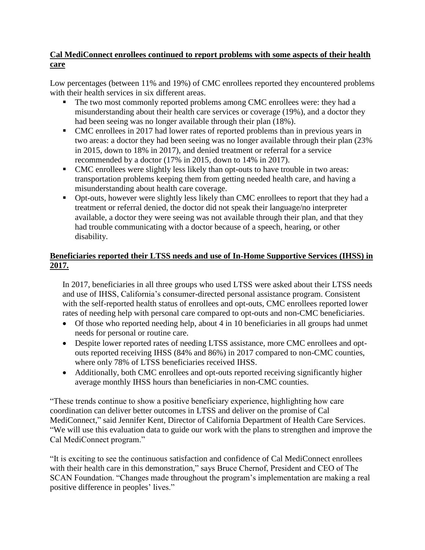## **Cal MediConnect enrollees continued to report problems with some aspects of their health care**

Low percentages (between 11% and 19%) of CMC enrollees reported they encountered problems with their health services in six different areas.

- The two most commonly reported problems among CMC enrollees were: they had a misunderstanding about their health care services or coverage (19%), and a doctor they had been seeing was no longer available through their plan (18%).
- CMC enrollees in 2017 had lower rates of reported problems than in previous years in two areas: a doctor they had been seeing was no longer available through their plan (23% in 2015, down to 18% in 2017), and denied treatment or referral for a service recommended by a doctor (17% in 2015, down to 14% in 2017).
- CMC enrollees were slightly less likely than opt-outs to have trouble in two areas: transportation problems keeping them from getting needed health care, and having a misunderstanding about health care coverage.
- Opt-outs, however were slightly less likely than CMC enrollees to report that they had a treatment or referral denied, the doctor did not speak their language/no interpreter available, a doctor they were seeing was not available through their plan, and that they had trouble communicating with a doctor because of a speech, hearing, or other disability.

# **Beneficiaries reported their LTSS needs and use of In-Home Supportive Services (IHSS) in 2017.**

In 2017, beneficiaries in all three groups who used LTSS were asked about their LTSS needs and use of IHSS, California's consumer-directed personal assistance program. Consistent with the self-reported health status of enrollees and opt-outs, CMC enrollees reported lower rates of needing help with personal care compared to opt-outs and non-CMC beneficiaries.

- Of those who reported needing help, about 4 in 10 beneficiaries in all groups had unmet needs for personal or routine care.
- Despite lower reported rates of needing LTSS assistance, more CMC enrollees and optouts reported receiving IHSS (84% and 86%) in 2017 compared to non-CMC counties, where only 78% of LTSS beneficiaries received IHSS.
- Additionally, both CMC enrollees and opt-outs reported receiving significantly higher average monthly IHSS hours than beneficiaries in non-CMC counties.

"These trends continue to show a positive beneficiary experience, highlighting how care coordination can deliver better outcomes in LTSS and deliver on the promise of Cal MediConnect," said Jennifer Kent, Director of California Department of Health Care Services. "We will use this evaluation data to guide our work with the plans to strengthen and improve the Cal MediConnect program."

"It is exciting to see the continuous satisfaction and confidence of Cal MediConnect enrollees with their health care in this demonstration," says Bruce Chernof, President and CEO of The SCAN Foundation. "Changes made throughout the program's implementation are making a real positive difference in peoples' lives."